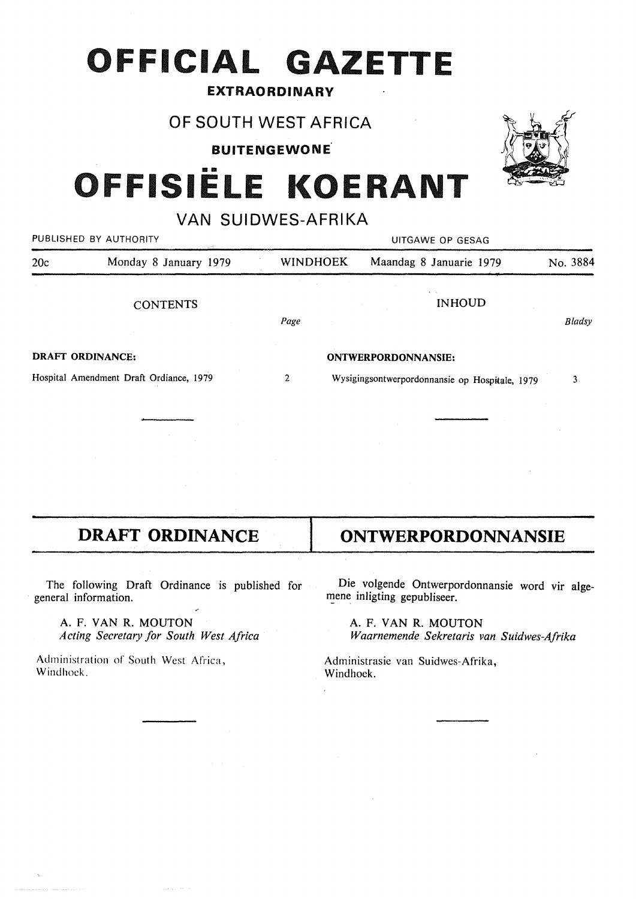# **OFFICIAL GAZETTE**

### **EXTRAORDINARY**

OF SOUTH WEST AFRICA

**BUITENGEWONE.** 

# **OFFISIELE KOERANT**

VAN SUIDWES-AFRIKA

|                         | PUBLISHED BY AUTHORITY                  | UITGAWE OP GESAG |  |                                                |               |  |  |  |
|-------------------------|-----------------------------------------|------------------|--|------------------------------------------------|---------------|--|--|--|
| 20c                     | Monday 8 January 1979                   | <b>WINDHOEK</b>  |  | Maandag 8 Januarie 1979                        | No. 3884      |  |  |  |
|                         | <b>CONTENTS</b>                         |                  |  | <b>INHOUD</b>                                  |               |  |  |  |
|                         |                                         | Page             |  |                                                | <b>Bladsy</b> |  |  |  |
| <b>DRAFT ORDINANCE:</b> |                                         |                  |  | ONTWERPORDONNANSIE:                            |               |  |  |  |
|                         | Hospital Amendment Draft Ordiance, 1979 | 2                |  | Wysigingsontwerpordonnansie op Hospitale, 1979 | 3             |  |  |  |
|                         |                                         |                  |  |                                                |               |  |  |  |
|                         |                                         |                  |  |                                                |               |  |  |  |

# **DRAFT ORDINANCE | ONTWERPORDONNANSIE**

The following Draft Ordinance is published for general information.

A. F. VAN R. MOUTON *Acting Secretary for South West Africa* 

Administration of South West Africa, Windhoek.

Die volgende Ontwerpordonnansie word vir algemene inligting gepubliseer.

A. F. VAN R. MOUTON *Waarnemende Sekretaris van Suidwes-Afrika* 

Administrasie van Suidwes-Afrika, Windhoek.

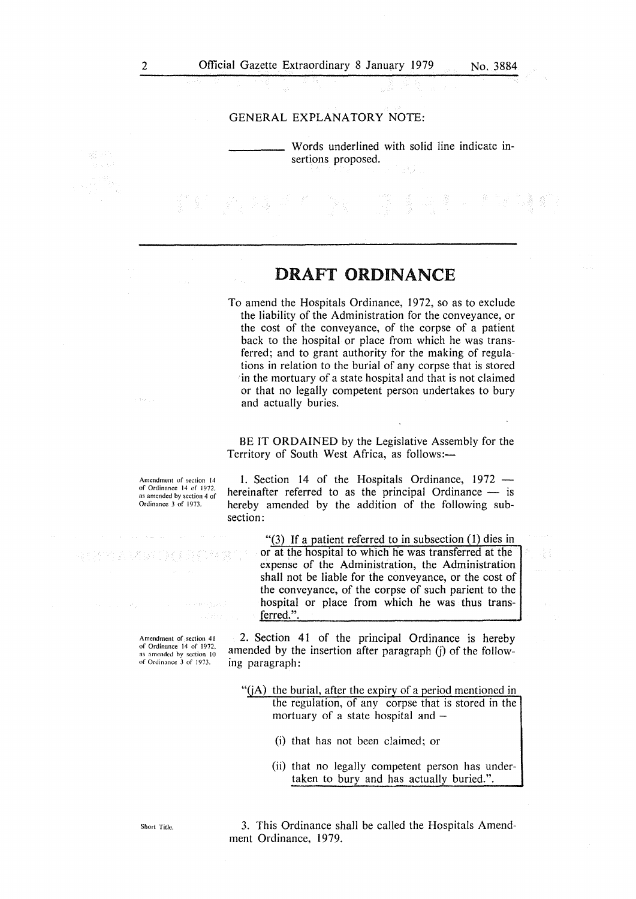#### GENERAL EXPLANATORY NOTE:

Words underlined with solid line indicate insertions proposed.

## **DRAFT ORDINANCE**

To amend the Hospitals Ordinance, 1972, so as to exclude the liability of the Administration for the conveyance, or the cost of the conveyance, of the corpse of a patient back to the hospital or place from which he was transferred; and to grant authority for the making of regulations in relation to the burial of any corpse that is stored in the mortuary of a state hospital and that is not claimed or that no legally competent person undertakes to bury and actually buries.

BE IT ORDAINED by the Legislative Assembly for the Territory of South West Africa, as follows:-

Amendment of section 14 of Ordinance 14 of 1972. as amended by section 4 of Ordinance 3 of 1973.

1. Section 14 of the Hospitals Ordinance,  $1972$ hereinafter referred to as the principal Ordinance  $-$  is hereby amended by the addition of the following subsection:

> "(3) If a patient referred to in subsection  $(1)$  dies in or at the hospital to which he was transferred at the expense of the Administration, the Administration shall not be liable for the conveyance, or the cost of the conveyance, of the corpse of such parient to the hospital or place from which he was thus transferred.".

Amendment of section 41 of Ordinance 14 of 1972, as amended by section 10 of Ordinance 3 of 1973.

2. Section 41 of the principal Ordinance is hereby amended by the insertion after paragraph (j) of the following paragraph:

" $(jA)$  the burial, after the expiry of a period mentioned in the regulation, of any corpse that is stored in the mortuary of a state hospital and  $-$ 

- (i) that has not been claimed; or
- (ii) that no legally competent person has undertaken to bury and has actually buried.".

Short Title.

3. This Ordinance shall be called the Hospitals Amendment Ordinance, 1979.